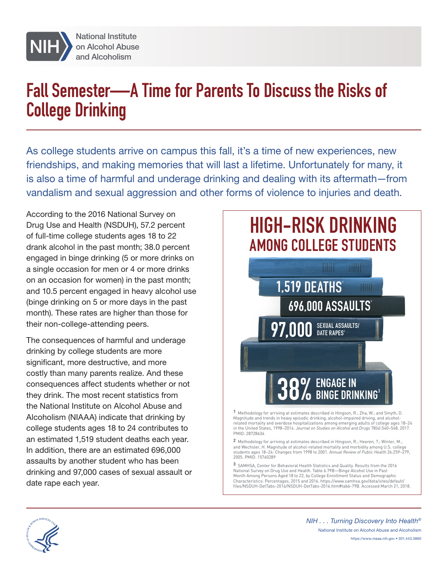

# **Fall Semester—A Time for Parents To Discuss the Risks of College Drinking**

As college students arrive on campus this fall, it's a time of new experiences, new friendships, and making memories that will last a lifetime. Unfortunately for many, it is also a time of harmful and underage drinking and dealing with its aftermath—from vandalism and sexual aggression and other forms of violence to injuries and death.

According to the 2016 National Survey on Drug Use and Health (NSDUH), 57.2 percent of full-time college students ages 18 to 22 drank alcohol in the past month; 38.0 percent engaged in binge drinking (5 or more drinks on a single occasion for men or 4 or more drinks on an occasion for women) in the past month; and 10.5 percent engaged in heavy alcohol use (binge drinking on 5 or more days in the past month). These rates are higher than those for their non-college-attending peers.

The consequences of harmful and underage drinking by college students are more significant, more destructive, and more costly than many parents realize. And these consequences affect students whether or not they drink. The most recent statistics from the National Institute on Alcohol Abuse and Alcoholism (NIAAA) indicate that drinking by college students ages 18 to 24 contributes to an estimated 1,519 student deaths each year. In addition, there are an estimated 696,000 assaults by another student who has been drinking and 97,000 cases of sexual assault or date rape each year.



**1** Methodology for arriving at estimates described in Hingson, R.; Zha, W.; and Smyth, D. Magnitude and trends in heavy episodic drinking, alcohol-impaired driving, and alcohol-related mortality and overdose hospitalizations among emerging adults of college ages 18–24 in the United States, 1998–2014. *Journal on Studies on Alcohol and Drugs* 78(4):540–548, 2017. PMID: 28728636

**2** Methodology for arriving at estimates described in Hingson, R.; Heeren, T.; Winter, M.; and Wechsler, H. Magnitude of alcohol-related mortality and morbidity among U.S. college students ages 18–24: Changes from 1998 to 2001. *Annual Review of Public Health* 26:259–279, 2005. PMID: 15760289

**3** SAMHSA, Center for Behavioral Health Statistics and Quality. Results from the 2016 National Survey on Drug Use and Health. Table 6.79B—Binge Alcohol Use in Past Month Among Persons Aged 18 to 22, by College Enrollment Status and Demographic Characteristics: Percentages, 2015 and 2016. [https://www.samhsa.gov/data/sites/default/](https://www.samhsa.gov/data/sites/default/files/NSDUH-DetTabs-2016/NSDUH-DetTabs-2016.htm#tab6-79B) [files/NSDUH-DetTabs-2016/NSDUH-DetTabs-2016.htm#tab6-79B](https://www.samhsa.gov/data/sites/default/files/NSDUH-DetTabs-2016/NSDUH-DetTabs-2016.htm#tab6-79B). Accessed March 21, 2018.



NIH . . . Turning Discovery Into Health® National Institute on Alcohol Abuse and Alcoholism https://www.niaaa.nih.gov • 301.443.3860